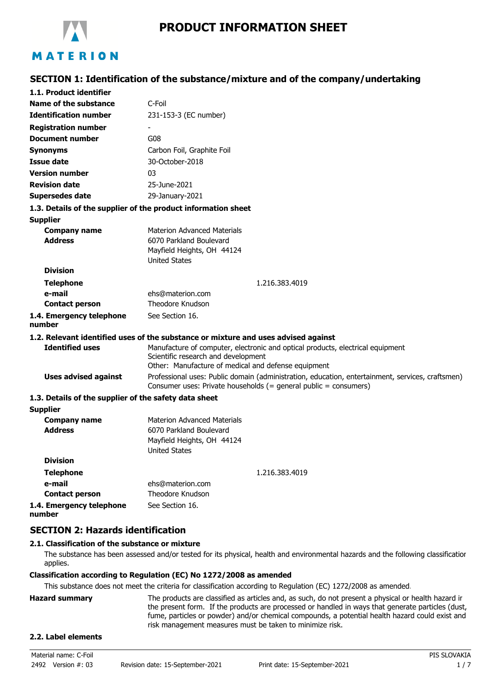

# **SECTION 1: Identification of the substance/mixture and of the company/undertaking**

| 1.1. Product identifier                               |                                                                                                                                                                              |  |  |
|-------------------------------------------------------|------------------------------------------------------------------------------------------------------------------------------------------------------------------------------|--|--|
| Name of the substance                                 | C-Foil                                                                                                                                                                       |  |  |
| <b>Identification number</b>                          | 231-153-3 (EC number)                                                                                                                                                        |  |  |
| <b>Registration number</b>                            |                                                                                                                                                                              |  |  |
| <b>Document number</b>                                | G08                                                                                                                                                                          |  |  |
| <b>Synonyms</b>                                       | Carbon Foil, Graphite Foil                                                                                                                                                   |  |  |
| <b>Issue date</b>                                     | 30-October-2018                                                                                                                                                              |  |  |
| <b>Version number</b>                                 | 03                                                                                                                                                                           |  |  |
| <b>Revision date</b>                                  | 25-June-2021                                                                                                                                                                 |  |  |
| <b>Supersedes date</b>                                | 29-January-2021                                                                                                                                                              |  |  |
|                                                       | 1.3. Details of the supplier of the product information sheet                                                                                                                |  |  |
| <b>Supplier</b>                                       |                                                                                                                                                                              |  |  |
| <b>Company name</b><br><b>Address</b>                 | <b>Materion Advanced Materials</b><br>6070 Parkland Boulevard<br>Mayfield Heights, OH 44124<br><b>United States</b>                                                          |  |  |
| <b>Division</b>                                       |                                                                                                                                                                              |  |  |
| <b>Telephone</b>                                      | 1.216.383.4019                                                                                                                                                               |  |  |
| e-mail                                                | ehs@materion.com                                                                                                                                                             |  |  |
| <b>Contact person</b>                                 | <b>Theodore Knudson</b>                                                                                                                                                      |  |  |
| 1.4. Emergency telephone<br>number                    | See Section 16.                                                                                                                                                              |  |  |
|                                                       | 1.2. Relevant identified uses of the substance or mixture and uses advised against                                                                                           |  |  |
| <b>Identified uses</b>                                | Manufacture of computer, electronic and optical products, electrical equipment<br>Scientific research and development<br>Other: Manufacture of medical and defense equipment |  |  |
| <b>Uses advised against</b>                           | Professional uses: Public domain (administration, education, entertainment, services, craftsmen)<br>Consumer uses: Private households (= general public = consumers)         |  |  |
| 1.3. Details of the supplier of the safety data sheet |                                                                                                                                                                              |  |  |
| <b>Supplier</b>                                       |                                                                                                                                                                              |  |  |
| <b>Company name</b><br><b>Address</b>                 | <b>Materion Advanced Materials</b><br>6070 Parkland Boulevard<br>Mayfield Heights, OH 44124<br><b>United States</b>                                                          |  |  |
| <b>Division</b>                                       |                                                                                                                                                                              |  |  |
| <b>Telephone</b>                                      | 1.216.383.4019                                                                                                                                                               |  |  |
| e-mail                                                | ehs@materion.com                                                                                                                                                             |  |  |
| <b>Contact person</b>                                 | Theodore Knudson                                                                                                                                                             |  |  |
| 1.4. Emergency telephone<br>number                    | See Section 16.                                                                                                                                                              |  |  |

# **SECTION 2: Hazards identification**

# **2.1. Classification of the substance or mixture**

The substance has been assessed and/or tested for its physical, health and environmental hazards and the following classification applies.

#### **Classification according to Regulation (EC) No 1272/2008 as amended**

This substance does not meet the criteria for classification according to Regulation (EC) 1272/2008 as amended.

| Hazard summarv | The products are classified as articles and, as such, do not present a physical or health hazard ir |
|----------------|-----------------------------------------------------------------------------------------------------|
|                | the present form. If the products are processed or handled in ways that generate particles (dust,   |
|                | fume, particles or powder) and/or chemical compounds, a potential health hazard could exist and     |
|                | risk management measures must be taken to minimize risk.                                            |
|                |                                                                                                     |

#### **2.2. Label elements**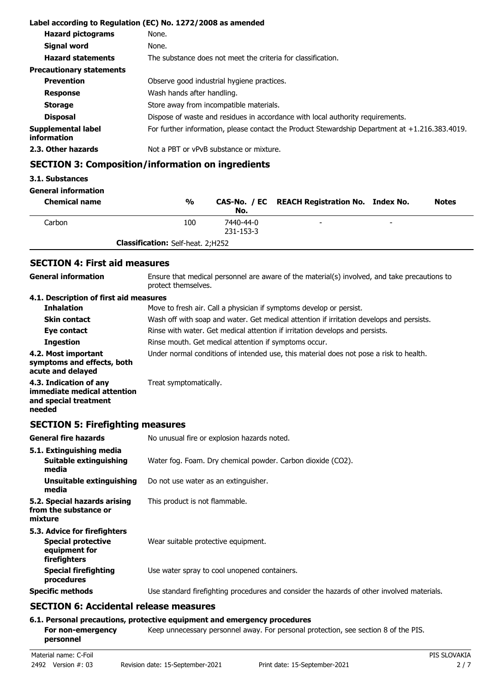| Label according to Regulation (EC) No. 1272/2008 as amended |                                                                                                   |  |  |
|-------------------------------------------------------------|---------------------------------------------------------------------------------------------------|--|--|
| <b>Hazard pictograms</b>                                    | None.                                                                                             |  |  |
| Signal word                                                 | None.                                                                                             |  |  |
| <b>Hazard statements</b>                                    | The substance does not meet the criteria for classification.                                      |  |  |
| <b>Precautionary statements</b>                             |                                                                                                   |  |  |
| <b>Prevention</b>                                           | Observe good industrial hygiene practices.                                                        |  |  |
| <b>Response</b>                                             | Wash hands after handling.                                                                        |  |  |
| <b>Storage</b>                                              | Store away from incompatible materials.                                                           |  |  |
| <b>Disposal</b>                                             | Dispose of waste and residues in accordance with local authority requirements.                    |  |  |
| <b>Supplemental label</b><br>information                    | For further information, please contact the Product Stewardship Department at $+1.216.383.4019$ . |  |  |
| 2.3. Other hazards                                          | Not a PBT or vPvB substance or mixture.                                                           |  |  |

# **SECTION 3: Composition/information on ingredients**

#### **3.1. Substances**

# **General information**

| <b>Chemical name</b> | %                                        | No.                    | CAS-No. / EC REACH Registration No. Index No. |                          | <b>Notes</b> |
|----------------------|------------------------------------------|------------------------|-----------------------------------------------|--------------------------|--------------|
| Carbon               | 100                                      | 7440-44-0<br>231-153-3 | -                                             | $\overline{\phantom{a}}$ |              |
|                      | <b>Classification:</b> Self-heat. 2;H252 |                        |                                               |                          |              |

# **SECTION 4: First aid measures**

| <b>General information</b>                                                               | Ensure that medical personnel are aware of the material(s) involved, and take precautions to<br>protect themselves. |  |  |
|------------------------------------------------------------------------------------------|---------------------------------------------------------------------------------------------------------------------|--|--|
| 4.1. Description of first aid measures                                                   |                                                                                                                     |  |  |
| <b>Inhalation</b>                                                                        | Move to fresh air. Call a physician if symptoms develop or persist.                                                 |  |  |
| <b>Skin contact</b>                                                                      | Wash off with soap and water. Get medical attention if irritation develops and persists.                            |  |  |
| Eye contact                                                                              | Rinse with water. Get medical attention if irritation develops and persists.                                        |  |  |
| <b>Ingestion</b>                                                                         | Rinse mouth. Get medical attention if symptoms occur.                                                               |  |  |
| 4.2. Most important<br>symptoms and effects, both<br>acute and delayed                   | Under normal conditions of intended use, this material does not pose a risk to health.                              |  |  |
| 4.3. Indication of any<br>immediate medical attention<br>and special treatment<br>needed | Treat symptomatically.                                                                                              |  |  |

# **SECTION 5: Firefighting measures**

| <b>General fire hazards</b>                                                                | No unusual fire or explosion hazards noted.                                                |  |  |
|--------------------------------------------------------------------------------------------|--------------------------------------------------------------------------------------------|--|--|
| 5.1. Extinguishing media<br>Suitable extinguishing<br>media                                | Water fog. Foam. Dry chemical powder. Carbon dioxide (CO2).                                |  |  |
| Unsuitable extinguishing<br>media                                                          | Do not use water as an extinguisher.                                                       |  |  |
| 5.2. Special hazards arising<br>from the substance or<br>mixture                           | This product is not flammable.                                                             |  |  |
| 5.3. Advice for firefighters<br><b>Special protective</b><br>equipment for<br>firefighters | Wear suitable protective equipment.                                                        |  |  |
| <b>Special firefighting</b><br>procedures                                                  | Use water spray to cool unopened containers.                                               |  |  |
| <b>Specific methods</b>                                                                    | Use standard firefighting procedures and consider the hazards of other involved materials. |  |  |
| $CFATTALI$ $C.$ A said substitutions were                                                  |                                                                                            |  |  |

# **SECTION 6: Accidental release measures**

# **6.1. Personal precautions, protective equipment and emergency procedures**

For non-emergency **Keep unnecessary personnel away. For personal protection, see section 8 of the PIS. personnel**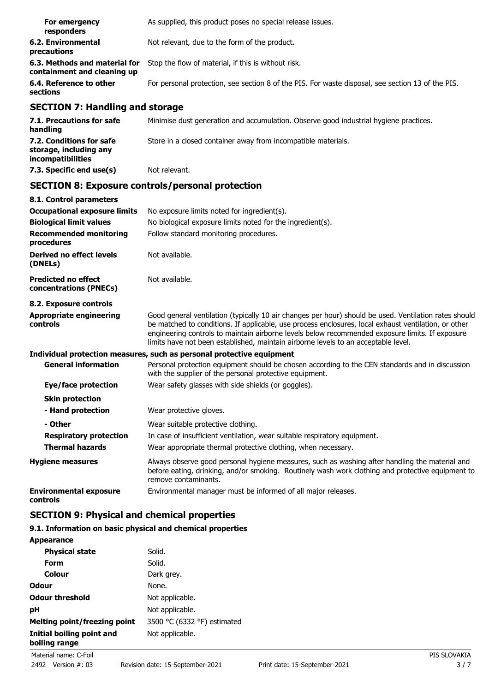| For emergency<br>responders                                  | As supplied, this product poses no special release issues.                                        |
|--------------------------------------------------------------|---------------------------------------------------------------------------------------------------|
| 6.2. Environmental<br>precautions                            | Not relevant, due to the form of the product.                                                     |
| 6.3. Methods and material for<br>containment and cleaning up | Stop the flow of material, if this is without risk.                                               |
| 6.4. Reference to other<br>sections                          | For personal protection, see section 8 of the PIS. For waste disposal, see section 13 of the PIS. |

# **SECTION 7: Handling and storage**

| 7.1. Precautions for safe<br>handling                                   | Minimise dust generation and accumulation. Observe good industrial hygiene practices. |
|-------------------------------------------------------------------------|---------------------------------------------------------------------------------------|
| 7.2. Conditions for safe<br>storage, including any<br>incompatibilities | Store in a closed container away from incompatible materials.                         |
| 7.3. Specific end use(s)                                                | Not relevant.                                                                         |

# **SECTION 8: Exposure controls/personal protection**

| 8.1. Control parameters                              |                                                                                                                                                                                                                                                                                                                                                                                                        |  |  |
|------------------------------------------------------|--------------------------------------------------------------------------------------------------------------------------------------------------------------------------------------------------------------------------------------------------------------------------------------------------------------------------------------------------------------------------------------------------------|--|--|
| <b>Occupational exposure limits</b>                  | No exposure limits noted for ingredient(s).                                                                                                                                                                                                                                                                                                                                                            |  |  |
| <b>Biological limit values</b>                       | No biological exposure limits noted for the ingredient(s).                                                                                                                                                                                                                                                                                                                                             |  |  |
| <b>Recommended monitoring</b><br>procedures          | Follow standard monitoring procedures.                                                                                                                                                                                                                                                                                                                                                                 |  |  |
| <b>Derived no effect levels</b><br>(DNELs)           | Not available.                                                                                                                                                                                                                                                                                                                                                                                         |  |  |
| <b>Predicted no effect</b><br>concentrations (PNECs) | Not available.                                                                                                                                                                                                                                                                                                                                                                                         |  |  |
| 8.2. Exposure controls                               |                                                                                                                                                                                                                                                                                                                                                                                                        |  |  |
| <b>Appropriate engineering</b><br>controls           | Good general ventilation (typically 10 air changes per hour) should be used. Ventilation rates should<br>be matched to conditions. If applicable, use process enclosures, local exhaust ventilation, or other<br>engineering controls to maintain airborne levels below recommended exposure limits. If exposure<br>limits have not been established, maintain airborne levels to an acceptable level. |  |  |
|                                                      | Individual protection measures, such as personal protective equipment                                                                                                                                                                                                                                                                                                                                  |  |  |
| <b>General information</b>                           | Personal protection equipment should be chosen according to the CEN standards and in discussion<br>with the supplier of the personal protective equipment.                                                                                                                                                                                                                                             |  |  |
| Eye/face protection                                  | Wear safety glasses with side shields (or goggles).                                                                                                                                                                                                                                                                                                                                                    |  |  |
| <b>Skin protection</b>                               |                                                                                                                                                                                                                                                                                                                                                                                                        |  |  |
| - Hand protection                                    | Wear protective gloves.                                                                                                                                                                                                                                                                                                                                                                                |  |  |
| - Other                                              | Wear suitable protective clothing.                                                                                                                                                                                                                                                                                                                                                                     |  |  |
| <b>Respiratory protection</b>                        | In case of insufficient ventilation, wear suitable respiratory equipment.                                                                                                                                                                                                                                                                                                                              |  |  |
| <b>Thermal hazards</b>                               | Wear appropriate thermal protective clothing, when necessary.                                                                                                                                                                                                                                                                                                                                          |  |  |
| <b>Hygiene measures</b>                              | Always observe good personal hygiene measures, such as washing after handling the material and<br>before eating, drinking, and/or smoking. Routinely wash work clothing and protective equipment to<br>remove contaminants.                                                                                                                                                                            |  |  |
| <b>Environmental exposure</b><br>controls            | Environmental manager must be informed of all major releases.                                                                                                                                                                                                                                                                                                                                          |  |  |

# **SECTION 9: Physical and chemical properties**

# **9.1. Information on basic physical and chemical properties**

| <b>Appearance</b>                          |                             |
|--------------------------------------------|-----------------------------|
| <b>Physical state</b>                      | Solid.                      |
| Form                                       | Solid.                      |
| Colour                                     | Dark grey.                  |
| Odour                                      | None.                       |
| <b>Odour threshold</b>                     | Not applicable.             |
| рH                                         | Not applicable.             |
| Melting point/freezing point               | 3500 °C (6332 °F) estimated |
| Initial boiling point and<br>boiling range | Not applicable.             |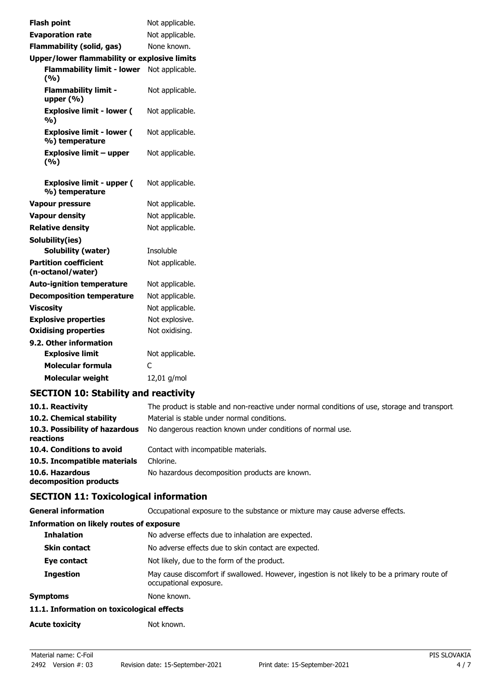| <b>Flash point</b>                                 | Not applicable. |
|----------------------------------------------------|-----------------|
| <b>Evaporation rate</b>                            | Not applicable. |
| <b>Flammability (solid, gas)</b>                   | None known.     |
| Upper/lower flammability or explosive limits       |                 |
| <b>Flammability limit - lower</b><br>(%)           | Not applicable. |
| <b>Flammability limit -</b><br>upper $(% )$        | Not applicable. |
| <b>Explosive limit - lower (</b><br>%)             | Not applicable. |
| <b>Explosive limit - lower (</b><br>%) temperature | Not applicable. |
| <b>Explosive limit - upper</b><br>(%)              | Not applicable. |
| <b>Explosive limit - upper (</b><br>%) temperature | Not applicable. |
| <b>Vapour pressure</b>                             | Not applicable. |
| <b>Vapour density</b>                              | Not applicable. |
| <b>Relative density</b>                            | Not applicable. |
| Solubility(ies)                                    |                 |
| Solubility (water)                                 | Insoluble       |
| <b>Partition coefficient</b><br>(n-octanol/water)  | Not applicable. |
| <b>Auto-ignition temperature</b>                   | Not applicable. |
| <b>Decomposition temperature</b>                   | Not applicable. |
| <b>Viscosity</b>                                   | Not applicable. |
| <b>Explosive properties</b>                        | Not explosive.  |
| <b>Oxidising properties</b>                        | Not oxidising.  |
| 9.2. Other information                             |                 |
| <b>Explosive limit</b>                             | Not applicable. |
| <b>Molecular formula</b>                           | C               |
| <b>Molecular weight</b>                            | 12,01 g/mol     |
|                                                    |                 |

# **SECTION 10: Stability and reactivity**

| 10.1. Reactivity                            | The product is stable and non-reactive under normal conditions of use, storage and transport. |
|---------------------------------------------|-----------------------------------------------------------------------------------------------|
| 10.2. Chemical stability                    | Material is stable under normal conditions.                                                   |
| 10.3. Possibility of hazardous<br>reactions | No dangerous reaction known under conditions of normal use.                                   |
| 10.4. Conditions to avoid                   | Contact with incompatible materials.                                                          |
| 10.5. Incompatible materials                | Chlorine.                                                                                     |
| 10.6. Hazardous<br>decomposition products   | No hazardous decomposition products are known.                                                |

# **SECTION 11: Toxicological information**

| <b>General information</b>                      | Occupational exposure to the substance or mixture may cause adverse effects.                                           |
|-------------------------------------------------|------------------------------------------------------------------------------------------------------------------------|
| <b>Information on likely routes of exposure</b> |                                                                                                                        |
| <b>Inhalation</b>                               | No adverse effects due to inhalation are expected.                                                                     |
| <b>Skin contact</b>                             | No adverse effects due to skin contact are expected.                                                                   |
| Eye contact                                     | Not likely, due to the form of the product.                                                                            |
| <b>Ingestion</b>                                | May cause discomfort if swallowed. However, ingestion is not likely to be a primary route of<br>occupational exposure. |
| Symptoms                                        | None known.                                                                                                            |
| 11.1. Information on toxicological effects      |                                                                                                                        |
| <b>Acute toxicity</b>                           | Not known.                                                                                                             |
|                                                 |                                                                                                                        |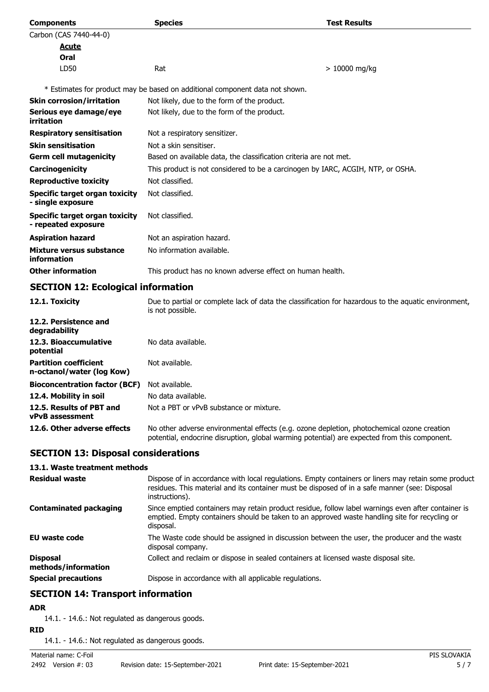| <b>Components</b>                                          | <b>Species</b>                                                                  | <b>Test Results</b> |
|------------------------------------------------------------|---------------------------------------------------------------------------------|---------------------|
| Carbon (CAS 7440-44-0)                                     |                                                                                 |                     |
| Acute                                                      |                                                                                 |                     |
| Oral                                                       |                                                                                 |                     |
| LD50                                                       | Rat                                                                             | $> 10000$ mg/kg     |
|                                                            | * Estimates for product may be based on additional component data not shown.    |                     |
| <b>Skin corrosion/irritation</b>                           | Not likely, due to the form of the product.                                     |                     |
| Serious eye damage/eye<br>irritation                       | Not likely, due to the form of the product.                                     |                     |
| <b>Respiratory sensitisation</b>                           | Not a respiratory sensitizer.                                                   |                     |
| <b>Skin sensitisation</b>                                  | Not a skin sensitiser.                                                          |                     |
| <b>Germ cell mutagenicity</b>                              | Based on available data, the classification criteria are not met.               |                     |
| Carcinogenicity                                            | This product is not considered to be a carcinogen by IARC, ACGIH, NTP, or OSHA. |                     |
| <b>Reproductive toxicity</b>                               | Not classified.                                                                 |                     |
| <b>Specific target organ toxicity</b><br>- single exposure | Not classified.                                                                 |                     |
| Specific target organ toxicity<br>- repeated exposure      | Not classified.                                                                 |                     |
| <b>Aspiration hazard</b>                                   | Not an aspiration hazard.                                                       |                     |
| Mixture versus substance<br>information                    | No information available.                                                       |                     |
| <b>Other information</b>                                   | This product has no known adverse effect on human health.                       |                     |

# **SECTION 12: Ecological information**

| 12.1. Toxicity                                            | Due to partial or complete lack of data the classification for hazardous to the aquatic environment,<br>is not possible.                                                                   |
|-----------------------------------------------------------|--------------------------------------------------------------------------------------------------------------------------------------------------------------------------------------------|
| 12.2. Persistence and<br>degradability                    |                                                                                                                                                                                            |
| 12.3. Bioaccumulative<br>potential                        | No data available.                                                                                                                                                                         |
| <b>Partition coefficient</b><br>n-octanol/water (log Kow) | Not available.                                                                                                                                                                             |
| <b>Bioconcentration factor (BCF)</b>                      | Not available.                                                                                                                                                                             |
| 12.4. Mobility in soil                                    | No data available.                                                                                                                                                                         |
| 12.5. Results of PBT and<br><b>vPvB</b> assessment        | Not a PBT or vPvB substance or mixture.                                                                                                                                                    |
| 12.6. Other adverse effects                               | No other adverse environmental effects (e.g. ozone depletion, photochemical ozone creation<br>potential, endocrine disruption, global warming potential) are expected from this component. |

# **SECTION 13: Disposal considerations**

# **13.1. Waste treatment methods**

| <b>Residual waste</b>                  | Dispose of in accordance with local regulations. Empty containers or liners may retain some product<br>residues. This material and its container must be disposed of in a safe manner (see: Disposal<br>instructions). |
|----------------------------------------|------------------------------------------------------------------------------------------------------------------------------------------------------------------------------------------------------------------------|
| <b>Contaminated packaging</b>          | Since emptied containers may retain product residue, follow label warnings even after container is<br>emptied. Empty containers should be taken to an approved waste handling site for recycling or<br>disposal.       |
| EU waste code                          | The Waste code should be assigned in discussion between the user, the producer and the waste<br>disposal company.                                                                                                      |
| <b>Disposal</b><br>methods/information | Collect and reclaim or dispose in sealed containers at licensed waste disposal site.                                                                                                                                   |
| <b>Special precautions</b>             | Dispose in accordance with all applicable regulations.                                                                                                                                                                 |

# **SECTION 14: Transport information**

# **ADR**

14.1. - 14.6.: Not regulated as dangerous goods.

**RID**

14.1. - 14.6.: Not regulated as dangerous goods.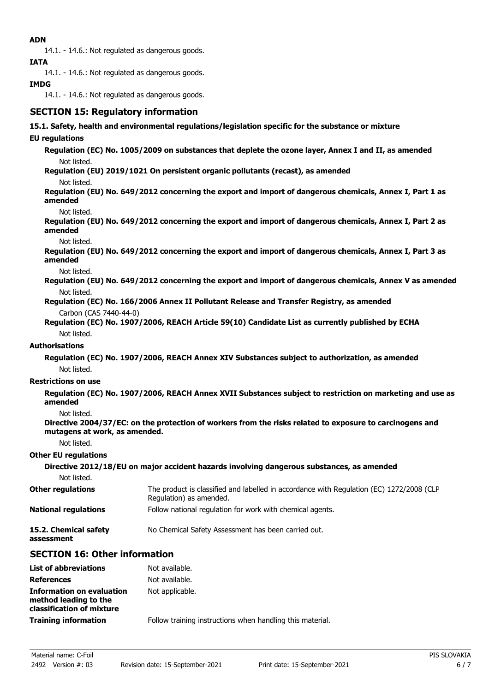# **ADN**

14.1. - 14.6.: Not regulated as dangerous goods.

**IATA**

14.1. - 14.6.: Not regulated as dangerous goods.

# **IMDG**

14.1. - 14.6.: Not regulated as dangerous goods.

# **SECTION 15: Regulatory information**

#### **15.1. Safety, health and environmental regulations/legislation specific for the substance or mixture**

#### **EU regulations**

**Regulation (EC) No. 1005/2009 on substances that deplete the ozone layer, Annex I and II, as amended** Not listed.

**Regulation (EU) 2019/1021 On persistent organic pollutants (recast), as amended**

Not listed.

**Regulation (EU) No. 649/2012 concerning the export and import of dangerous chemicals, Annex I, Part 1 as amended**

Not listed.

**Regulation (EU) No. 649/2012 concerning the export and import of dangerous chemicals, Annex I, Part 2 as amended**

Not listed.

**Regulation (EU) No. 649/2012 concerning the export and import of dangerous chemicals, Annex I, Part 3 as amended**

Not listed.

**Regulation (EU) No. 649/2012 concerning the export and import of dangerous chemicals, Annex V as amended** Not listed.

**Regulation (EC) No. 166/2006 Annex II Pollutant Release and Transfer Registry, as amended** Carbon (CAS 7440-44-0)

**Regulation (EC) No. 1907/2006, REACH Article 59(10) Candidate List as currently published by ECHA** Not listed.

#### **Authorisations**

**Regulation (EC) No. 1907/2006, REACH Annex XIV Substances subject to authorization, as amended** Not listed.

#### **Restrictions on use**

**Regulation (EC) No. 1907/2006, REACH Annex XVII Substances subject to restriction on marketing and use as amended**

Not listed.

**Directive 2004/37/EC: on the protection of workers from the risks related to exposure to carcinogens and mutagens at work, as amended.**

Not listed.

#### **Other EU regulations**

| Directive 2012/18/EU on major accident hazards involving dangerous substances, as amended |                                                                                                                     |  |
|-------------------------------------------------------------------------------------------|---------------------------------------------------------------------------------------------------------------------|--|
| Not listed.                                                                               |                                                                                                                     |  |
| <b>Other regulations</b>                                                                  | The product is classified and labelled in accordance with Regulation (EC) 1272/2008 (CLP<br>Regulation) as amended. |  |
| <b>National regulations</b>                                                               | Follow national regulation for work with chemical agents.                                                           |  |
| 15.2. Chemical safety<br>assessment                                                       | No Chemical Safety Assessment has been carried out.                                                                 |  |

# **SECTION 16: Other information**

| <b>List of abbreviations</b>                                                           | Not available.                                            |
|----------------------------------------------------------------------------------------|-----------------------------------------------------------|
| <b>References</b>                                                                      | Not available.                                            |
| <b>Information on evaluation</b><br>method leading to the<br>classification of mixture | Not applicable.                                           |
| <b>Training information</b>                                                            | Follow training instructions when handling this material. |